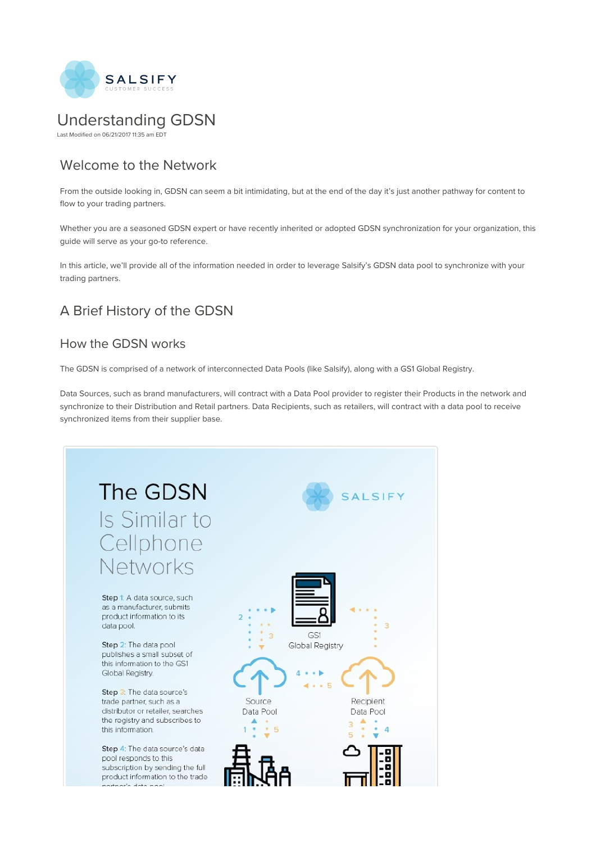

# Understanding GDSN

Last Modified on 06/21/2017 11:35 am EDT

# Welcome to the Network

From the outside looking in, GDSN can seem a bit intimidating, but at the end of the day it's just another pathway for content to flow to your trading partners.

Whether you are a seasoned GDSN expert or have recently inherited or adopted GDSN synchronization for your organization, this guide will serve as your go-to reference.

In this article, we'll provide all of the information needed in order to leverage Salsify's GDSN data pool to synchronize with your trading partners.

# A Brief History of the GDSN

### How the GDSN works

The GDSN is comprised of a network of interconnected Data Pools (like Salsify), along with a GS1 Global Registry.

Data Sources, such as brand manufacturers, will contract with a Data Pool provider to register their Products in the network and synchronize to their Distribution and Retail partners. Data Recipients, such as retailers, will contract with a data pool to receive synchronized items from their supplier base.

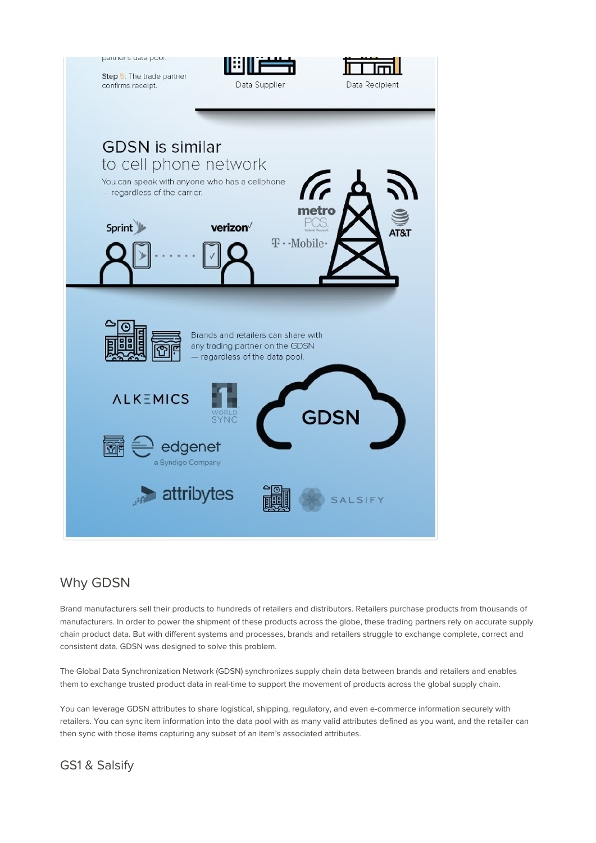

### Why GDSN

Brand manufacturers sell their products to hundreds of retailers and distributors. Retailers purchase products from thousands of manufacturers. In order to power the shipment of these products across the globe, these trading partners rely on accurate supply chain product data. But with different systems and processes, brands and retailers struggle to exchange complete, correct and consistent data. GDSN was designed to solve this problem.

The Global Data Synchronization Network (GDSN) synchronizes supply chain data between brands and retailers and enables them to exchange trusted product data in real-time to support the movement of products across the global supply chain.

You can leverage GDSN attributes to share logistical, shipping, regulatory, and even e-commerce information securely with retailers. You can sync item information into the data pool with as many valid attributes defined as you want, and the retailer can then sync with those items capturing any subset of an item's associated attributes.

GS1 & Salsify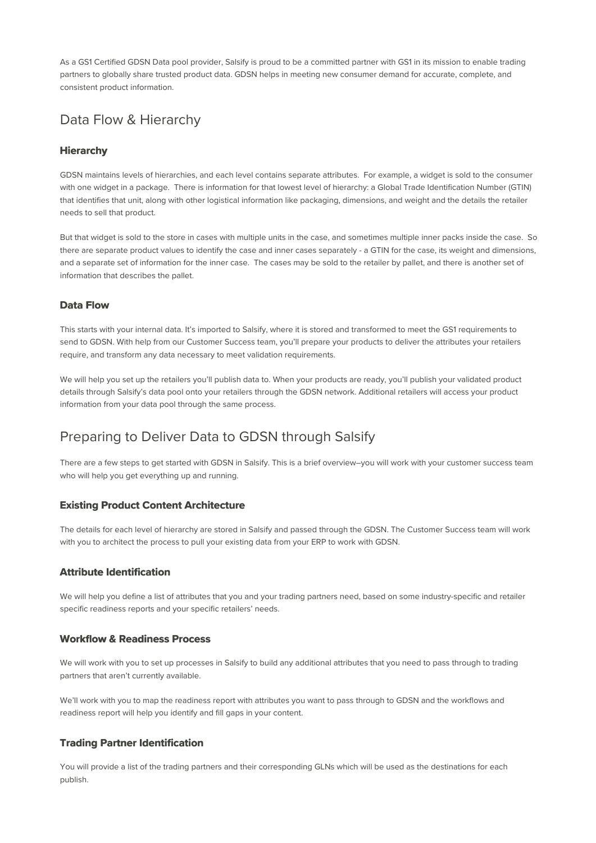As a GS1 Certified GDSN Data pool provider, Salsify is proud to be a committed partner with GS1 in its mission to enable trading partners to globally share trusted product data. GDSN helps in meeting new consumer demand for accurate, complete, and consistent product information.

# Data Flow & Hierarchy

#### **Hierarchy**

GDSN maintains levels of hierarchies, and each level contains separate attributes. For example, a widget is sold to the consumer with one widget in a package. There is information for that lowest level of hierarchy: a Global Trade Identification Number (GTIN) that identifies that unit, along with other logistical information like packaging, dimensions, and weight and the details the retailer needs to sell that product.

But that widget is sold to the store in cases with multiple units in the case, and sometimes multiple inner packs inside the case. So there are separate product values to identify the case and inner cases separately - a GTIN for the case, its weight and dimensions, and a separate set of information for the inner case. The cases may be sold to the retailer by pallet, and there is another set of information that describes the pallet.

#### **Data Flow**

This starts with your internal data. It's imported to Salsify, where it is stored and transformed to meet the GS1 requirements to send to GDSN. With help from our Customer Success team, you'll prepare your products to deliver the attributes your retailers require, and transform any data necessary to meet validation requirements.

We will help you set up the retailers you'll publish data to. When your products are ready, you'll publish your validated product details through Salsify's data pool onto your retailers through the GDSN network. Additional retailers will access your product information from your data pool through the same process.

### Preparing to Deliver Data to GDSN through Salsify

There are a few steps to get started with GDSN in Salsify. This is a brief overview–you will work with your customer success team who will help you get everything up and running.

#### **Existing Product Content Architecture**

The details for each level of hierarchy are stored in Salsify and passed through the GDSN. The Customer Success team will work with you to architect the process to pull your existing data from your ERP to work with GDSN.

#### **Attribute Identification**

We will help you define a list of attributes that you and your trading partners need, based on some industry-specific and retailer specific readiness reports and your specific retailers' needs.

#### **Workflow & Readiness Process**

We will work with you to set up processes in Salsify to build any additional attributes that you need to pass through to trading partners that aren't currently available.

We'll work with you to map the readiness report with attributes you want to pass through to GDSN and the workflows and readiness report will help you identify and fill gaps in your content.

#### **Trading Partner Identification**

You will provide a list of the trading partners and their corresponding GLNs which will be used as the destinations for each publish.